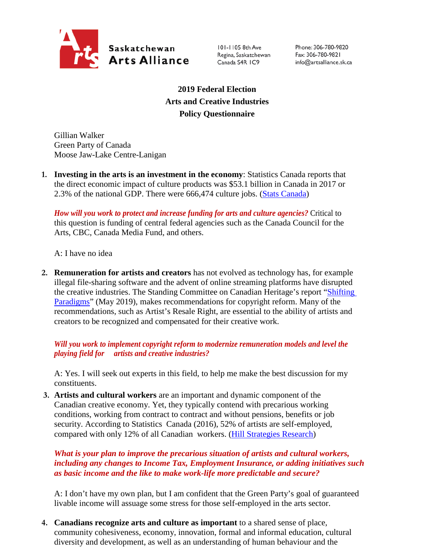

101-1105 8th Ave Regina, Saskatchewan Canada S4R IC9

Phone: 306-780-9820 Fax: 306-780-9821 info@artsalliance.sk.ca

**2019 Federal Election Arts and Creative Industries Policy Questionnaire**

Gillian Walker Green Party of Canada Moose Jaw-Lake Centre-Lanigan

**1. Investing in the arts is an investment in the economy**: Statistics Canada reports that the direct economic impact of culture products was \$53.1 billion in Canada in 2017 or 2.3% of the national GDP. There were 666,474 culture jobs. [\(Stats Canada\)](https://www.canada.ca/en/canadian-heritage/corporate/publications/general-publications/culture-satellite-account.html#a4-3)

*How will you work to protect and increase funding for arts and culture agencies?* Critical to this question is funding of central federal agencies such as the Canada Council for the Arts, CBC, Canada Media Fund, and others.

A: I have no idea

**2. Remuneration for artists and creators** has not evolved as technology has, for example illegal file-sharing software and the advent of online streaming platforms have disrupted the creative industries. The Standing Committee on Canadian Heritage's report ["Shifting](https://www.ourcommons.ca/Content/Committee/421/CHPC/Reports/RP10481650/chpcrp19/chpcrp19-e.pdf)  [Paradigms"](https://www.ourcommons.ca/Content/Committee/421/CHPC/Reports/RP10481650/chpcrp19/chpcrp19-e.pdf) (May 2019), makes recommendations for copyright reform. Many of the recommendations, such as Artist's Resale Right, are essential to the ability of artists and creators to be recognized and compensated for their creative work.

## *Will you work to implement copyright reform to modernize remuneration models and level the playing field for artists and creative industries?*

A: Yes. I will seek out experts in this field, to help me make the best discussion for my constituents.

**3. Artists and cultural workers** are an important and dynamic component of the Canadian creative economy. Yet, they typically contend with precarious working conditions, working from contract to contract and without pensions, benefits or job security. According to Statistics Canada (2016), 52% of artists are self-employed, compared with only 12% of all Canadian workers. [\(Hill Strategies Research\)](https://hillstrategies.com/2019/07/31/a-statistical-profile-of-artists-in-canada-in-2016-with-summary-information-about-cultural-workers/)

*What is your plan to improve the precarious situation of artists and cultural workers, including any changes to Income Tax, Employment Insurance, or adding initiatives such as basic income and the like to make work-life more predictable and secure?*

A: I don't have my own plan, but I am confident that the Green Party's goal of guaranteed livable income will assuage some stress for those self-employed in the arts sector.

**4. Canadians recognize arts and culture as important** to a shared sense of place, community cohesiveness, economy, innovation, formal and informal education, cultural diversity and development, as well as an understanding of human behaviour and the